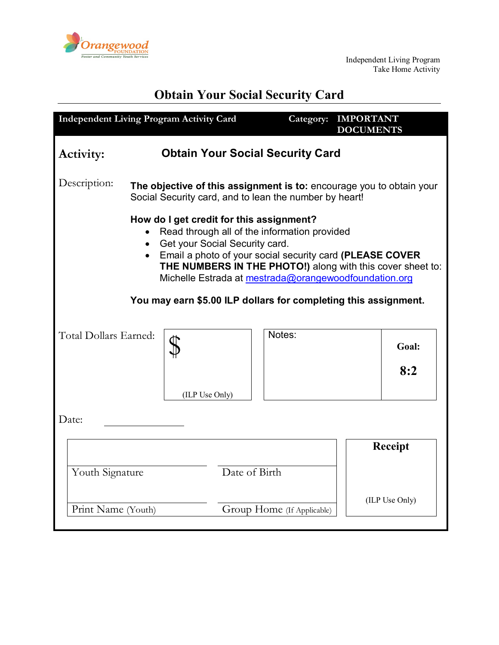

# **Obtain Your Social Security Card**

| <b>Independent Living Program Activity Card</b>                                                                                                                                                                                                                                                                                                                                                 |                                                                                                                                |                                         | Category: | <b>IMPORTANT</b><br><b>DOCUMENTS</b> |                |  |
|-------------------------------------------------------------------------------------------------------------------------------------------------------------------------------------------------------------------------------------------------------------------------------------------------------------------------------------------------------------------------------------------------|--------------------------------------------------------------------------------------------------------------------------------|-----------------------------------------|-----------|--------------------------------------|----------------|--|
| Activity:                                                                                                                                                                                                                                                                                                                                                                                       |                                                                                                                                | <b>Obtain Your Social Security Card</b> |           |                                      |                |  |
| Description:                                                                                                                                                                                                                                                                                                                                                                                    | The objective of this assignment is to: encourage you to obtain your<br>Social Security card, and to lean the number by heart! |                                         |           |                                      |                |  |
| How do I get credit for this assignment?<br>Read through all of the information provided<br>Get your Social Security card.<br>$\bullet$<br>• Email a photo of your social security card (PLEASE COVER<br>THE NUMBERS IN THE PHOTO!) along with this cover sheet to:<br>Michelle Estrada at mestrada@orangewoodfoundation.org<br>You may earn \$5.00 ILP dollars for completing this assignment. |                                                                                                                                |                                         |           |                                      |                |  |
| Total Dollars Earned:                                                                                                                                                                                                                                                                                                                                                                           | (ILP Use Only)                                                                                                                 |                                         | Notes:    |                                      | Goal:<br>8:2   |  |
| Date:                                                                                                                                                                                                                                                                                                                                                                                           |                                                                                                                                |                                         |           |                                      |                |  |
| Youth Signature                                                                                                                                                                                                                                                                                                                                                                                 |                                                                                                                                | Date of Birth                           |           |                                      | <b>Receipt</b> |  |
| Print Name (Youth)                                                                                                                                                                                                                                                                                                                                                                              |                                                                                                                                | Group Home (If Applicable)              |           |                                      | (ILP Use Only) |  |